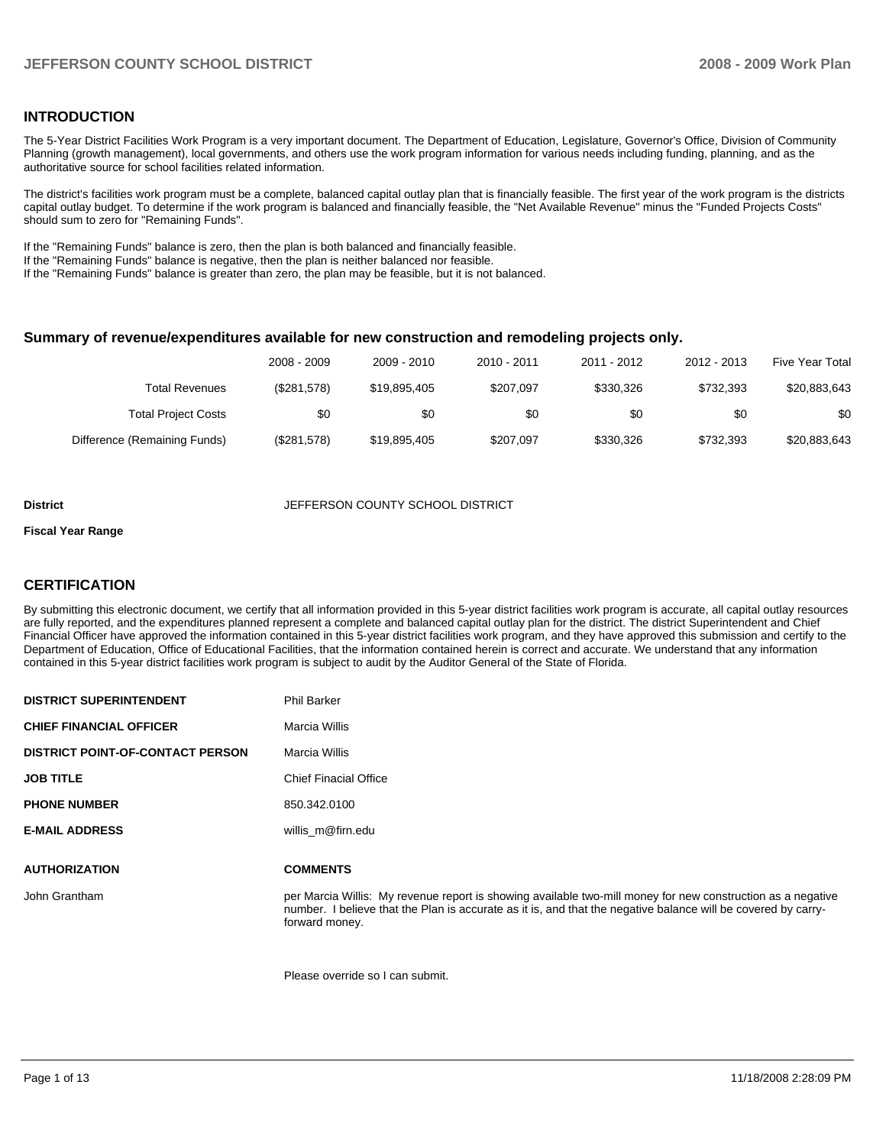### **INTRODUCTION**

The 5-Year District Facilities Work Program is a very important document. The Department of Education, Legislature, Governor's Office, Division of Community Planning (growth management), local governments, and others use the work program information for various needs including funding, planning, and as the authoritative source for school facilities related information.

The district's facilities work program must be a complete, balanced capital outlay plan that is financially feasible. The first year of the work program is the districts capital outlay budget. To determine if the work program is balanced and financially feasible, the "Net Available Revenue" minus the "Funded Projects Costs" should sum to zero for "Remaining Funds".

If the "Remaining Funds" balance is zero, then the plan is both balanced and financially feasible.

If the "Remaining Funds" balance is negative, then the plan is neither balanced nor feasible.

If the "Remaining Funds" balance is greater than zero, the plan may be feasible, but it is not balanced.

#### **Summary of revenue/expenditures available for new construction and remodeling projects only.**

| <b>Five Year Total</b> | 2012 - 2013 | 2011 - 2012 | 2010 - 2011 | 2009 - 2010  | 2008 - 2009 |                              |
|------------------------|-------------|-------------|-------------|--------------|-------------|------------------------------|
| \$20,883,643           | \$732.393   | \$330.326   | \$207.097   | \$19,895,405 | (\$281,578) | Total Revenues               |
| \$0                    | \$0         | \$0         | \$0         | \$0          | \$0         | <b>Total Project Costs</b>   |
| \$20,883,643           | \$732.393   | \$330,326   | \$207.097   | \$19,895,405 | (\$281,578) | Difference (Remaining Funds) |

#### **District District District JEFFERSON COUNTY SCHOOL DISTRICT**

#### **Fiscal Year Range**

#### **CERTIFICATION**

**DISTRICT SUPERINTENDENT**  Phil Barker

By submitting this electronic document, we certify that all information provided in this 5-year district facilities work program is accurate, all capital outlay resources are fully reported, and the expenditures planned represent a complete and balanced capital outlay plan for the district. The district Superintendent and Chief Financial Officer have approved the information contained in this 5-year district facilities work program, and they have approved this submission and certify to the Department of Education, Office of Educational Facilities, that the information contained herein is correct and accurate. We understand that any information contained in this 5-year district facilities work program is subject to audit by the Auditor General of the State of Florida.

| <b>DISTRICT SUPERINTENDENT</b>          | Fill Daiker                                                                                                                                                                                                                                    |
|-----------------------------------------|------------------------------------------------------------------------------------------------------------------------------------------------------------------------------------------------------------------------------------------------|
| <b>CHIEF FINANCIAL OFFICER</b>          | Marcia Willis                                                                                                                                                                                                                                  |
| <b>DISTRICT POINT-OF-CONTACT PERSON</b> | Marcia Willis                                                                                                                                                                                                                                  |
| <b>JOB TITLE</b>                        | <b>Chief Finacial Office</b>                                                                                                                                                                                                                   |
| <b>PHONE NUMBER</b>                     | 850.342.0100                                                                                                                                                                                                                                   |
| <b>E-MAIL ADDRESS</b>                   | willis m@firn.edu                                                                                                                                                                                                                              |
| <b>AUTHORIZATION</b>                    | <b>COMMENTS</b>                                                                                                                                                                                                                                |
| John Grantham                           | per Marcia Willis: My revenue report is showing available two-mill money for new construction as a negative<br>number. I believe that the Plan is accurate as it is, and that the negative balance will be covered by carry-<br>forward money. |
|                                         |                                                                                                                                                                                                                                                |

Please override so I can submit.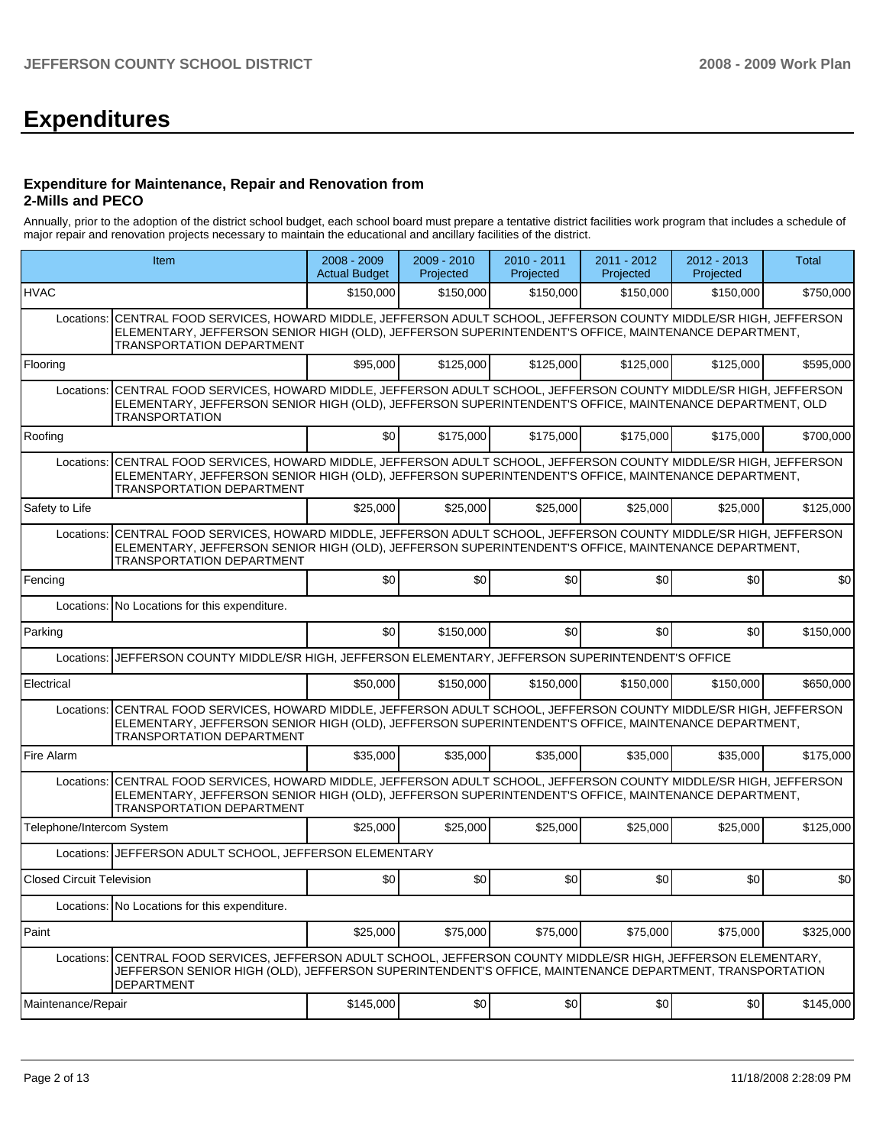# **Expenditures**

#### **Expenditure for Maintenance, Repair and Renovation from 2-Mills and PECO**

Annually, prior to the adoption of the district school budget, each school board must prepare a tentative district facilities work program that includes a schedule of major repair and renovation projects necessary to maintain the educational and ancillary facilities of the district.

| Item                                                                                                                                                                                                                                                       |                                                                                                                                                                                                                                                                | 2008 - 2009<br><b>Actual Budget</b> | $2009 - 2010$<br>Projected | 2010 - 2011<br>Projected | 2011 - 2012<br>Projected | 2012 - 2013<br>Projected | Total     |  |  |
|------------------------------------------------------------------------------------------------------------------------------------------------------------------------------------------------------------------------------------------------------------|----------------------------------------------------------------------------------------------------------------------------------------------------------------------------------------------------------------------------------------------------------------|-------------------------------------|----------------------------|--------------------------|--------------------------|--------------------------|-----------|--|--|
| <b>HVAC</b>                                                                                                                                                                                                                                                |                                                                                                                                                                                                                                                                | \$150,000                           | \$150,000                  | \$150,000                | \$150,000                | \$150,000                | \$750,000 |  |  |
| Locations:                                                                                                                                                                                                                                                 | CENTRAL FOOD SERVICES, HOWARD MIDDLE, JEFFERSON ADULT SCHOOL, JEFFERSON COUNTY MIDDLE/SR HIGH, JEFFERSON<br>ELEMENTARY, JEFFERSON SENIOR HIGH (OLD), JEFFERSON SUPERINTENDENT'S OFFICE, MAINTENANCE DEPARTMENT,<br>TRANSPORTATION DEPARTMENT                   |                                     |                            |                          |                          |                          |           |  |  |
| Flooring                                                                                                                                                                                                                                                   |                                                                                                                                                                                                                                                                | \$95,000                            | \$125,000                  | \$125,000                | \$125,000                | \$125,000                | \$595,000 |  |  |
| Locations:                                                                                                                                                                                                                                                 | CENTRAL FOOD SERVICES, HOWARD MIDDLE, JEFFERSON ADULT SCHOOL, JEFFERSON COUNTY MIDDLE/SR HIGH, JEFFERSON<br>ELEMENTARY, JEFFERSON SENIOR HIGH (OLD), JEFFERSON SUPERINTENDENT'S OFFICE, MAINTENANCE DEPARTMENT, OLD<br><b>TRANSPORTATION</b>                   |                                     |                            |                          |                          |                          |           |  |  |
| Roofing                                                                                                                                                                                                                                                    |                                                                                                                                                                                                                                                                | \$0                                 | \$175,000                  | \$175,000                | \$175,000                | \$175,000                | \$700,000 |  |  |
| Locations:                                                                                                                                                                                                                                                 | CENTRAL FOOD SERVICES, HOWARD MIDDLE, JEFFERSON ADULT SCHOOL, JEFFERSON COUNTY MIDDLE/SR HIGH, JEFFERSON<br>ELEMENTARY, JEFFERSON SENIOR HIGH (OLD), JEFFERSON SUPERINTENDENT'S OFFICE, MAINTENANCE DEPARTMENT,<br><b>TRANSPORTATION DEPARTMENT</b>            |                                     |                            |                          |                          |                          |           |  |  |
| Safety to Life                                                                                                                                                                                                                                             |                                                                                                                                                                                                                                                                | \$25,000                            | \$25,000                   | \$25,000                 | \$25,000                 | \$25,000                 | \$125,000 |  |  |
| CENTRAL FOOD SERVICES, HOWARD MIDDLE, JEFFERSON ADULT SCHOOL, JEFFERSON COUNTY MIDDLE/SR HIGH, JEFFERSON<br>Locations:<br>ELEMENTARY, JEFFERSON SENIOR HIGH (OLD), JEFFERSON SUPERINTENDENT'S OFFICE, MAINTENANCE DEPARTMENT,<br>TRANSPORTATION DEPARTMENT |                                                                                                                                                                                                                                                                |                                     |                            |                          |                          |                          |           |  |  |
| Fencing                                                                                                                                                                                                                                                    |                                                                                                                                                                                                                                                                | \$0                                 | \$0                        | \$0                      | \$0                      | \$0                      | \$0       |  |  |
|                                                                                                                                                                                                                                                            | Locations: No Locations for this expenditure.                                                                                                                                                                                                                  |                                     |                            |                          |                          |                          |           |  |  |
| Parking                                                                                                                                                                                                                                                    |                                                                                                                                                                                                                                                                | \$0                                 | \$150,000                  | \$0                      | \$0                      | \$0                      | \$150,000 |  |  |
| Locations:                                                                                                                                                                                                                                                 | JEFFERSON COUNTY MIDDLE/SR HIGH, JEFFERSON ELEMENTARY, JEFFERSON SUPERINTENDENT'S OFFICE                                                                                                                                                                       |                                     |                            |                          |                          |                          |           |  |  |
| Electrical                                                                                                                                                                                                                                                 |                                                                                                                                                                                                                                                                | \$50,000                            | \$150,000                  | \$150,000                | \$150,000                | \$150,000                | \$650,000 |  |  |
|                                                                                                                                                                                                                                                            | Locations: CENTRAL FOOD SERVICES, HOWARD MIDDLE, JEFFERSON ADULT SCHOOL, JEFFERSON COUNTY MIDDLE/SR HIGH, JEFFERSON<br>ELEMENTARY, JEFFERSON SENIOR HIGH (OLD), JEFFERSON SUPERINTENDENT'S OFFICE, MAINTENANCE DEPARTMENT,<br>TRANSPORTATION DEPARTMENT        |                                     |                            |                          |                          |                          |           |  |  |
| Fire Alarm                                                                                                                                                                                                                                                 |                                                                                                                                                                                                                                                                | \$35,000                            | \$35,000                   | \$35,000                 | \$35,000                 | \$35,000                 | \$175,000 |  |  |
|                                                                                                                                                                                                                                                            | Locations: CENTRAL FOOD SERVICES, HOWARD MIDDLE, JEFFERSON ADULT SCHOOL, JEFFERSON COUNTY MIDDLE/SR HIGH, JEFFERSON<br>ELEMENTARY, JEFFERSON SENIOR HIGH (OLD), JEFFERSON SUPERINTENDENT'S OFFICE, MAINTENANCE DEPARTMENT,<br><b>TRANSPORTATION DEPARTMENT</b> |                                     |                            |                          |                          |                          |           |  |  |
| Telephone/Intercom System                                                                                                                                                                                                                                  |                                                                                                                                                                                                                                                                | \$25,000                            | \$25,000                   | \$25,000                 | \$25,000                 | \$25,000                 | \$125,000 |  |  |
|                                                                                                                                                                                                                                                            | Locations: JEFFERSON ADULT SCHOOL, JEFFERSON ELEMENTARY                                                                                                                                                                                                        |                                     |                            |                          |                          |                          |           |  |  |
| Closed Circuit Television                                                                                                                                                                                                                                  |                                                                                                                                                                                                                                                                | \$0                                 | \$0                        | \$0                      | \$0                      | \$0                      | \$0       |  |  |
|                                                                                                                                                                                                                                                            | Locations: No Locations for this expenditure.                                                                                                                                                                                                                  |                                     |                            |                          |                          |                          |           |  |  |
| Paint                                                                                                                                                                                                                                                      |                                                                                                                                                                                                                                                                | \$25,000                            | \$75,000                   | \$75,000                 | \$75,000                 | \$75,000                 | \$325,000 |  |  |
| Locations:                                                                                                                                                                                                                                                 | CENTRAL FOOD SERVICES, JEFFERSON ADULT SCHOOL, JEFFERSON COUNTY MIDDLE/SR HIGH, JEFFERSON ELEMENTARY,<br>JEFFERSON SENIOR HIGH (OLD), JEFFERSON SUPERINTENDENT'S OFFICE, MAINTENANCE DEPARTMENT, TRANSPORTATION<br><b>DEPARTMENT</b>                           |                                     |                            |                          |                          |                          |           |  |  |
| Maintenance/Repair                                                                                                                                                                                                                                         |                                                                                                                                                                                                                                                                | \$145,000                           | \$0                        | \$0                      | \$0                      | \$0                      | \$145,000 |  |  |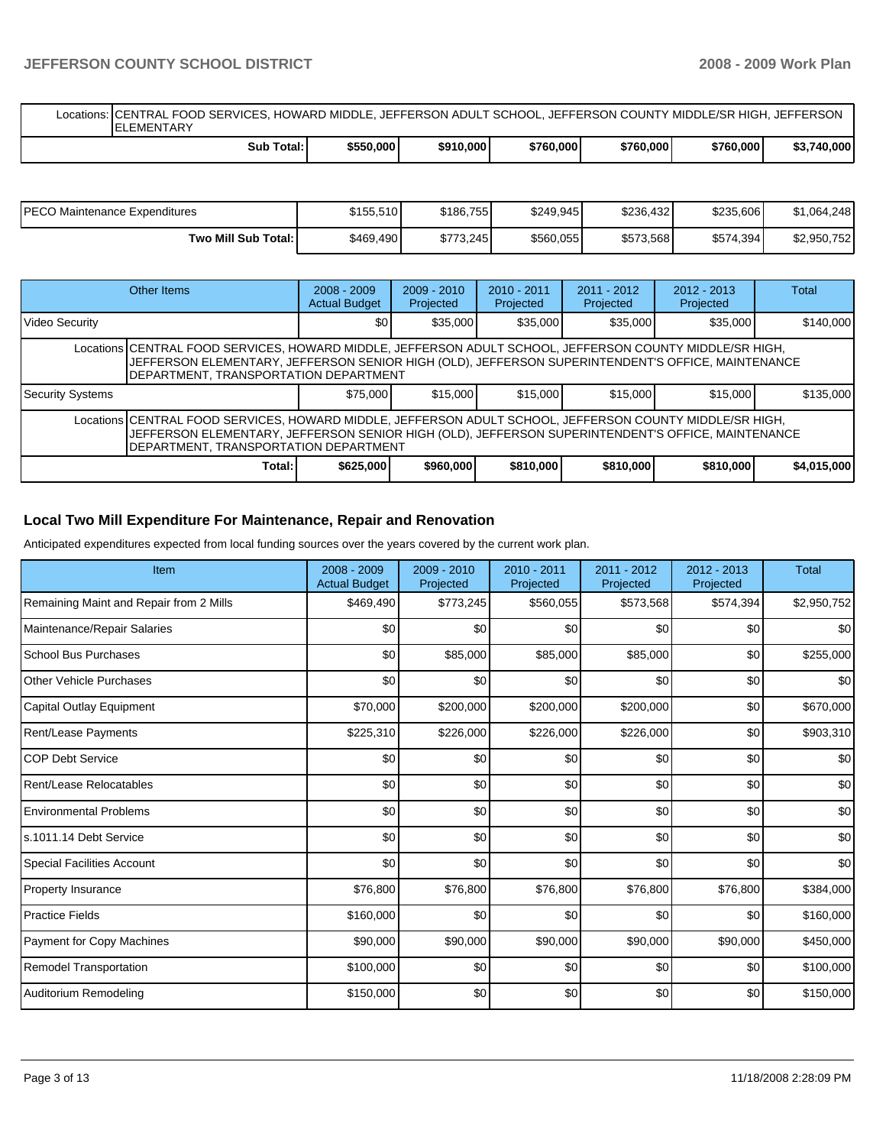## **JEFFERSON COUNTY SCHOOL DISTRICT 2008 - 2009 Work Plan**

Locations: CENTRAL FOOD SERVICES, HOWARD MIDDLE, JEFFERSON ADULT SCHOOL, JEFFERSON COUNTY MIDDLE/SR HIGH, JEFFERSON **ELEMENTARY Sub Total: \$550,000 \$910,000 \$760,000 \$760,000 \$760,000 \$3,740,000** 

| <b>PECO Maintenance Expenditures</b> | \$155,510 | \$186,755 | \$249.945 | \$236,432 | \$235,606 | \$1,064,248 |
|--------------------------------------|-----------|-----------|-----------|-----------|-----------|-------------|
| Two Mill Sub Total: I                | \$469,490 | \$773.245 | \$560,055 | \$573,568 | \$574,394 | \$2,950,752 |

|                                                                                                                                                                                                                                                         | Other Items | $2008 - 2009$<br><b>Actual Budget</b> | $2009 - 2010$<br>Projected | $2010 - 2011$<br>Projected | $2011 - 2012$<br>Projected | $2012 - 2013$<br>Projected | Total       |  |  |
|---------------------------------------------------------------------------------------------------------------------------------------------------------------------------------------------------------------------------------------------------------|-------------|---------------------------------------|----------------------------|----------------------------|----------------------------|----------------------------|-------------|--|--|
| <b>Video Security</b>                                                                                                                                                                                                                                   |             | \$0 <sub>1</sub>                      | \$35,000                   | \$35,000                   | \$35,000                   | \$35,000                   | \$140,000   |  |  |
| Locations CENTRAL FOOD SERVICES, HOWARD MIDDLE, JEFFERSON ADULT SCHOOL, JEFFERSON COUNTY MIDDLE/SR HIGH,<br>JJEFFERSON ELEMENTARY, JEFFERSON SENIOR HIGH (OLD), JEFFERSON SUPERINTENDENT'S OFFICE, MAINTENANCE<br>DEPARTMENT, TRANSPORTATION DEPARTMENT |             |                                       |                            |                            |                            |                            |             |  |  |
| Security Systems                                                                                                                                                                                                                                        |             | \$75,000                              | \$15,000                   | \$15,000                   | \$15,000                   | \$15,000                   | \$135,000   |  |  |
| Locations CENTRAL FOOD SERVICES, HOWARD MIDDLE, JEFFERSON ADULT SCHOOL, JEFFERSON COUNTY MIDDLE/SR HIGH,<br>JJEFFERSON ELEMENTARY, JEFFERSON SENIOR HIGH (OLD), JEFFERSON SUPERINTENDENT'S OFFICE, MAINTENANCE<br>DEPARTMENT, TRANSPORTATION DEPARTMENT |             |                                       |                            |                            |                            |                            |             |  |  |
|                                                                                                                                                                                                                                                         | Total:      | \$625,000                             | \$960,000                  | \$810,000                  | \$810,000                  | \$810,000                  | \$4,015,000 |  |  |

## **Local Two Mill Expenditure For Maintenance, Repair and Renovation**

Anticipated expenditures expected from local funding sources over the years covered by the current work plan.

| Item                                    | 2008 - 2009<br><b>Actual Budget</b> | $2009 - 2010$<br>Projected | $2010 - 2011$<br>Projected | $2011 - 2012$<br>Projected | $2012 - 2013$<br>Projected | <b>Total</b>     |
|-----------------------------------------|-------------------------------------|----------------------------|----------------------------|----------------------------|----------------------------|------------------|
| Remaining Maint and Repair from 2 Mills | \$469,490                           | \$773,245                  | \$560,055                  | \$573,568                  | \$574,394                  | \$2,950,752      |
| Maintenance/Repair Salaries             | \$0                                 | \$0                        | \$0                        | \$0                        | \$0                        | \$0              |
| School Bus Purchases                    | \$0                                 | \$85,000                   | \$85,000                   | \$85,000                   | \$0                        | \$255,000        |
| <b>Other Vehicle Purchases</b>          | \$0                                 | \$0                        | \$0                        | \$0                        | \$0                        | \$0              |
| Capital Outlay Equipment                | \$70,000                            | \$200,000                  | \$200,000                  | \$200,000                  | \$0                        | \$670,000        |
| Rent/Lease Payments                     | \$225,310                           | \$226,000                  | \$226,000                  | \$226,000                  | \$0                        | \$903,310        |
| <b>COP Debt Service</b>                 | \$0                                 | \$0                        | \$0                        | \$0                        | \$0                        | \$0              |
| Rent/Lease Relocatables                 | \$0                                 | \$0                        | \$0                        | \$0                        | \$0                        | \$0              |
| <b>Environmental Problems</b>           | \$0                                 | \$0                        | \$0                        | \$0                        | \$0                        | \$0              |
| ls.1011.14 Debt Service                 | \$0                                 | \$0                        | \$0                        | \$0                        | \$0                        | \$0              |
| <b>Special Facilities Account</b>       | \$0                                 | \$0                        | \$0                        | \$0                        | \$0                        | \$0 <sub>1</sub> |
| <b>Property Insurance</b>               | \$76,800                            | \$76,800                   | \$76,800                   | \$76,800                   | \$76,800                   | \$384,000        |
| <b>Practice Fields</b>                  | \$160,000                           | \$0                        | \$0                        | \$0                        | \$0                        | \$160,000        |
| Payment for Copy Machines               | \$90,000                            | \$90,000                   | \$90,000                   | \$90,000                   | \$90,000                   | \$450,000        |
| Remodel Transportation                  | \$100,000                           | \$0                        | \$0                        | \$0                        | \$0                        | \$100,000        |
| Auditorium Remodeling                   | \$150,000                           | \$0                        | \$0                        | \$0                        | \$0                        | \$150,000        |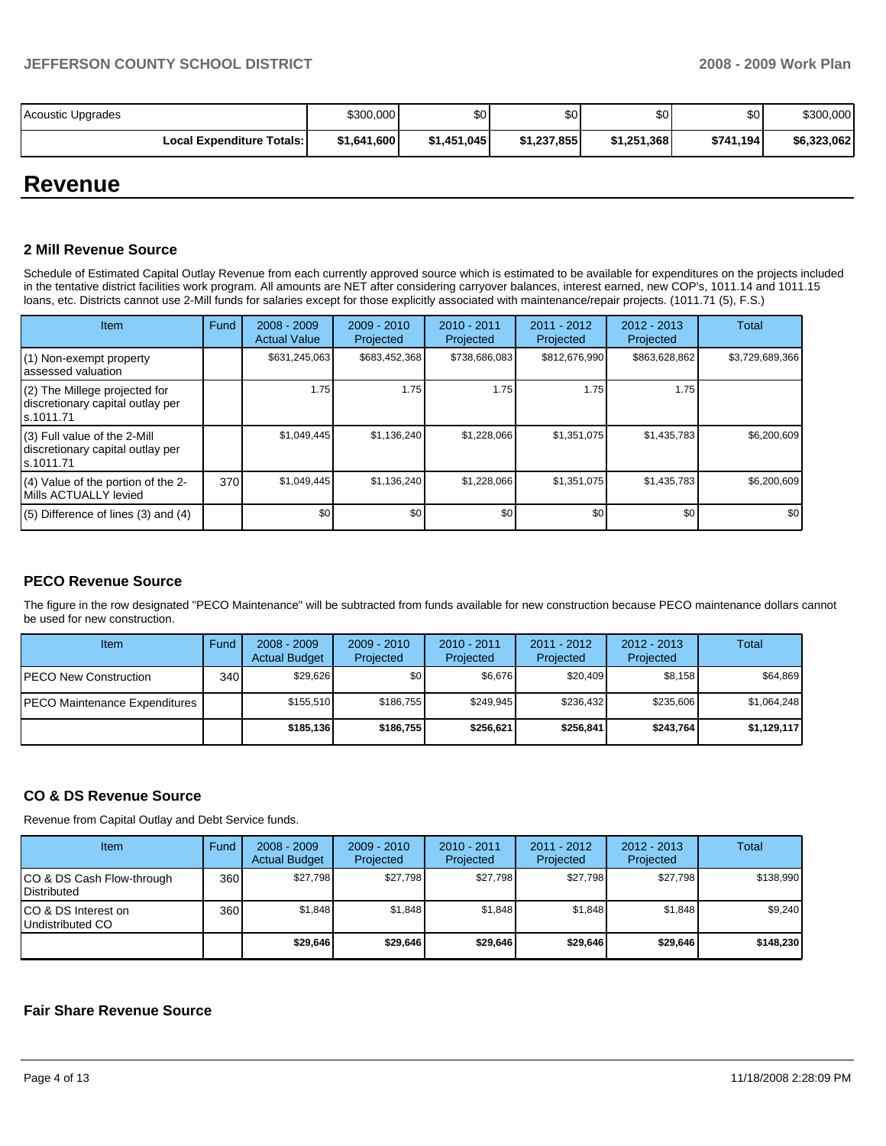| Acoustic Upgrades                | \$300,000   | \$0         | \$0         | \$0 <sub>1</sub> | \$0       | \$300,000   |
|----------------------------------|-------------|-------------|-------------|------------------|-----------|-------------|
| <b>Local Expenditure Totals:</b> | \$1,641,600 | \$1,451,045 | \$1,237,855 | \$1,251,368      | \$741,194 | \$6,323,062 |

## **Revenue**

## **2 Mill Revenue Source**

Schedule of Estimated Capital Outlay Revenue from each currently approved source which is estimated to be available for expenditures on the projects included in the tentative district facilities work program. All amounts are NET after considering carryover balances, interest earned, new COP's, 1011.14 and 1011.15 loans, etc. Districts cannot use 2-Mill funds for salaries except for those explicitly associated with maintenance/repair projects. (1011.71 (5), F.S.)

| Item                                                                            | Fund | $2008 - 2009$<br><b>Actual Value</b> | $2009 - 2010$<br>Projected | $2010 - 2011$<br>Projected | $2011 - 2012$<br>Projected | $2012 - 2013$<br>Projected | Total            |
|---------------------------------------------------------------------------------|------|--------------------------------------|----------------------------|----------------------------|----------------------------|----------------------------|------------------|
| (1) Non-exempt property<br>assessed valuation                                   |      | \$631,245,063                        | \$683,452,368              | \$738,686,083              | \$812,676,990              | \$863,628,862              | \$3,729,689,366  |
| (2) The Millege projected for<br>discretionary capital outlay per<br>ls.1011.71 |      | 1.75                                 | 1.75                       | 1.75                       | 1.75                       | 1.75                       |                  |
| (3) Full value of the 2-Mill<br>discretionary capital outlay per<br>s.1011.71   |      | \$1,049,445                          | \$1,136,240                | \$1,228,066                | \$1,351,075                | \$1,435,783                | \$6,200,609      |
| (4) Value of the portion of the 2-<br>Mills ACTUALLY levied                     | 370  | \$1,049,445                          | \$1,136,240                | \$1,228,066                | \$1,351,075                | \$1,435,783                | \$6,200,609      |
| $(5)$ Difference of lines (3) and (4)                                           |      | \$0                                  | \$0                        | \$0                        | \$0                        | \$0                        | \$0 <sub>1</sub> |

## **PECO Revenue Source**

The figure in the row designated "PECO Maintenance" will be subtracted from funds available for new construction because PECO maintenance dollars cannot be used for new construction.

| Item                          | Fund | $2008 - 2009$<br><b>Actual Budget</b> | $2009 - 2010$<br>Projected | $2010 - 2011$<br>Projected | $2011 - 2012$<br>Projected | $2012 - 2013$<br>Projected | <b>Total</b> |
|-------------------------------|------|---------------------------------------|----------------------------|----------------------------|----------------------------|----------------------------|--------------|
| <b>IPECO New Construction</b> | 340  | \$29.626                              | \$0                        | \$6,676                    | \$20,409                   | \$8,158                    | \$64,869     |
| PECO Maintenance Expenditures |      | \$155.510                             | \$186,755                  | \$249.945                  | \$236.432                  | \$235,606                  | \$1,064,248  |
|                               |      | \$185.136                             | \$186,755                  | \$256.621                  | \$256.841                  | \$243.764                  | \$1,129,117  |

## **CO & DS Revenue Source**

Revenue from Capital Outlay and Debt Service funds.

| Item                                            | Fund | $2008 - 2009$<br><b>Actual Budget</b> | $2009 - 2010$<br>Projected | $2010 - 2011$<br>Projected | $2011 - 2012$<br>Projected | $2012 - 2013$<br>Projected | Total     |
|-------------------------------------------------|------|---------------------------------------|----------------------------|----------------------------|----------------------------|----------------------------|-----------|
| CO & DS Cash Flow-through<br><b>Distributed</b> | 360  | \$27,798                              | \$27,798                   | \$27.798                   | \$27.798                   | \$27,798                   | \$138.990 |
| CO & DS Interest on<br>Undistributed CO         | 360  | \$1,848                               | \$1,848                    | \$1,848                    | \$1.848                    | \$1,848                    | \$9,240   |
|                                                 |      | \$29,646                              | \$29.646                   | \$29,646                   | \$29.646                   | \$29,646                   | \$148.230 |

## **Fair Share Revenue Source**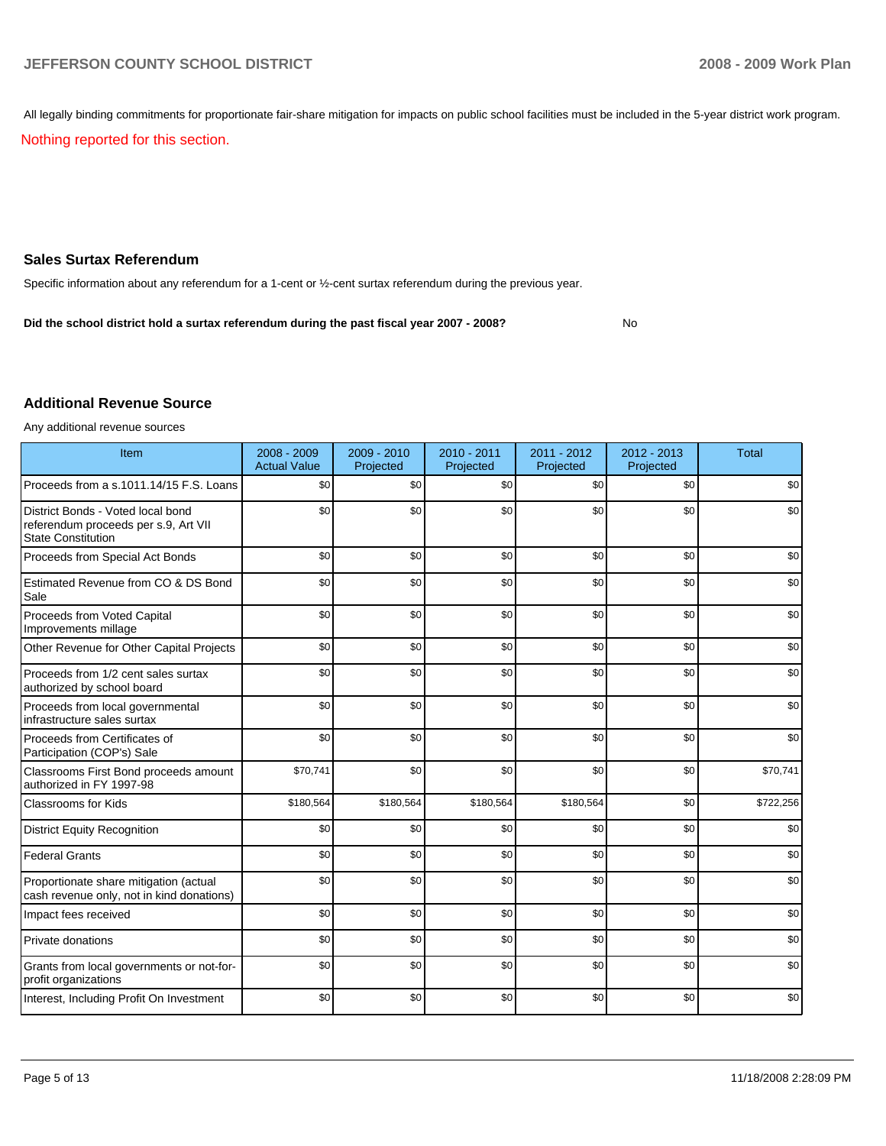All legally binding commitments for proportionate fair-share mitigation for impacts on public school facilities must be included in the 5-year district work program.

Nothing reported for this section.

## **Sales Surtax Referendum**

Specific information about any referendum for a 1-cent or ½-cent surtax referendum during the previous year.

**Did the school district hold a surtax referendum during the past fiscal year 2007 - 2008?** No

#### **Additional Revenue Source**

Any additional revenue sources

| Item                                                                                                   | 2008 - 2009<br><b>Actual Value</b> | 2009 - 2010<br>Projected | 2010 - 2011<br>Projected | 2011 - 2012<br>Projected | $2012 - 2013$<br>Projected | <b>Total</b> |
|--------------------------------------------------------------------------------------------------------|------------------------------------|--------------------------|--------------------------|--------------------------|----------------------------|--------------|
| Proceeds from a s.1011.14/15 F.S. Loans                                                                | \$0                                | \$0                      | \$0                      | \$0                      | \$0                        | \$0          |
| District Bonds - Voted local bond<br>referendum proceeds per s.9, Art VII<br><b>State Constitution</b> | \$0                                | \$0                      | \$0                      | \$0                      | \$0                        | \$0          |
| Proceeds from Special Act Bonds                                                                        | \$0                                | \$0                      | \$0                      | \$0                      | \$0                        | \$0          |
| Estimated Revenue from CO & DS Bond<br>Sale                                                            | \$0                                | \$0                      | \$0                      | \$0                      | \$0                        | \$0          |
| Proceeds from Voted Capital<br>Improvements millage                                                    | \$0                                | \$0                      | \$0                      | \$0                      | \$0                        | \$0          |
| Other Revenue for Other Capital Projects                                                               | \$0                                | \$0                      | \$0                      | \$0                      | \$0                        | \$0          |
| Proceeds from 1/2 cent sales surtax<br>authorized by school board                                      | \$0                                | \$0                      | \$0                      | \$0                      | \$0                        | \$0          |
| Proceeds from local governmental<br>infrastructure sales surtax                                        | \$0                                | \$0                      | \$0                      | \$0                      | \$0                        | \$0          |
| Proceeds from Certificates of<br>Participation (COP's) Sale                                            | \$0                                | \$0                      | \$0                      | \$0                      | \$0                        | \$0          |
| Classrooms First Bond proceeds amount<br>authorized in FY 1997-98                                      | \$70,741                           | \$0                      | \$0                      | \$0                      | \$0                        | \$70,741     |
| <b>Classrooms for Kids</b>                                                                             | \$180,564                          | \$180,564                | \$180,564                | \$180,564                | \$0                        | \$722,256    |
| <b>District Equity Recognition</b>                                                                     | \$0                                | \$0                      | \$0                      | \$0                      | \$0                        | \$0          |
| <b>Federal Grants</b>                                                                                  | \$0                                | \$0                      | \$0                      | \$0                      | \$0                        | \$0          |
| Proportionate share mitigation (actual<br>cash revenue only, not in kind donations)                    | \$0                                | \$0                      | \$0                      | \$0                      | \$0                        | \$0          |
| Impact fees received                                                                                   | \$0                                | \$0                      | \$0                      | \$0                      | \$0                        | \$0          |
| Private donations                                                                                      | \$0                                | \$0                      | \$0                      | \$0                      | \$0                        | \$0          |
| Grants from local governments or not-for-<br>profit organizations                                      | \$0                                | \$0                      | \$0                      | \$0                      | \$0                        | \$0          |
| Interest, Including Profit On Investment                                                               | \$0                                | \$0                      | \$0                      | \$0                      | \$0                        | \$0          |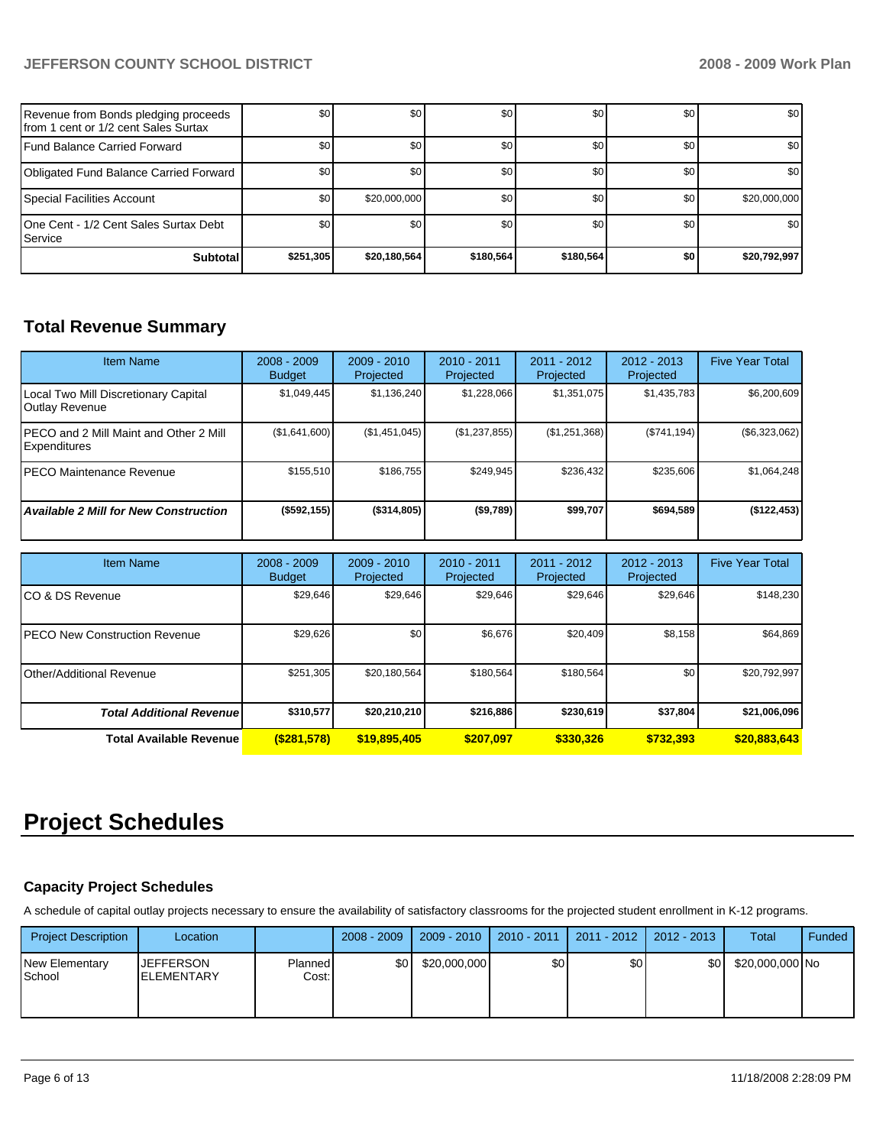## **JEFFERSON COUNTY SCHOOL DISTRICT 2008 - 2009 Work Plan**

| Revenue from Bonds pledging proceeds<br>Ifrom 1 cent or 1/2 cent Sales Surtax | \$0 <sub>1</sub> | \$0          | \$0       | \$0       | \$0       | \$0              |
|-------------------------------------------------------------------------------|------------------|--------------|-----------|-----------|-----------|------------------|
| <b>IFund Balance Carried Forward</b>                                          | \$0 <sub>1</sub> | \$0          | \$0       | \$0       | \$0       | \$0 <sub>1</sub> |
| Obligated Fund Balance Carried Forward                                        | \$0              | \$0          | \$0       | \$0       | <b>SO</b> | \$0              |
| Special Facilities Account                                                    | \$0 <sub>1</sub> | \$20,000,000 | \$0       | \$0       | \$0       | \$20,000,000     |
| 10ne Cent - 1/2 Cent Sales Surtax Debt<br>l Service i                         | \$0 <sub>1</sub> | \$0          | \$0       | \$0       | \$0       | \$0              |
| <b>Subtotal</b>                                                               | \$251,305        | \$20,180,564 | \$180.564 | \$180,564 | \$0       | \$20,792,997     |

## **Total Revenue Summary**

| <b>Item Name</b>                                               | $2008 - 2009$<br><b>Budget</b> | $2009 - 2010$<br>Projected | $2010 - 2011$<br>Projected | 2011 - 2012<br>Projected | $2012 - 2013$<br>Projected | <b>Five Year Total</b> |
|----------------------------------------------------------------|--------------------------------|----------------------------|----------------------------|--------------------------|----------------------------|------------------------|
| Local Two Mill Discretionary Capital<br><b>Outlay Revenue</b>  | \$1,049,445                    | \$1,136,240                | \$1,228,066                | \$1,351,075              | \$1,435,783                | \$6,200,609            |
| IPECO and 2 Mill Maint and Other 2 Mill<br><b>Expenditures</b> | (\$1,641,600)                  | (\$1,451,045)              | (\$1,237,855)              | (\$1,251,368)            | (\$741, 194)               | (\$6,323,062)          |
| IPECO Maintenance Revenue                                      | \$155,510                      | \$186.755                  | \$249.945                  | \$236,432                | \$235.606                  | \$1,064,248            |
| <b>Available 2 Mill for New Construction</b>                   | $($ \$592,155)                 | (\$314,805)                | (\$9,789)                  | \$99,707                 | \$694,589                  | (\$122,453)            |

| <b>Item Name</b>                      | $2008 - 2009$<br><b>Budget</b> | $2009 - 2010$<br>Projected | 2010 - 2011<br>Projected | 2011 - 2012<br>Projected | 2012 - 2013<br>Projected | <b>Five Year Total</b> |
|---------------------------------------|--------------------------------|----------------------------|--------------------------|--------------------------|--------------------------|------------------------|
| ICO & DS Revenue                      | \$29,646                       | \$29,646                   | \$29,646                 | \$29,646                 | \$29,646                 | \$148,230              |
| <b>IPECO New Construction Revenue</b> | \$29,626                       | \$0                        | \$6,676                  | \$20,409                 | \$8,158                  | \$64,869               |
| l Other/Additional Revenue            | \$251.305                      | \$20.180.564               | \$180.564                | \$180.564                | \$0                      | \$20,792,997           |
| <b>Total Additional Revenue</b>       | \$310,577                      | \$20,210,210               | \$216,886                | \$230,619                | \$37.804                 | \$21,006,096           |
| <b>Total Available Revenue</b>        | (S281,578)                     | \$19,895,405               | \$207.097                | \$330,326                | \$732.393                | \$20,883,643           |

# **Project Schedules**

## **Capacity Project Schedules**

A schedule of capital outlay projects necessary to ensure the availability of satisfactory classrooms for the projected student enrollment in K-12 programs.

| <b>Project Description</b>      | Location                               |                  | $2008 - 2009$ | 2009 - 2010  | 2010 - 2011 | 2011 - 2012 | 2012 - 2013      | Total           | Funded |
|---------------------------------|----------------------------------------|------------------|---------------|--------------|-------------|-------------|------------------|-----------------|--------|
| <b>New Elementary</b><br>School | <b>JEFFERSON</b><br><b>IELEMENTARY</b> | Planned<br>Cost: | <b>\$01</b>   | \$20,000,000 | \$0         | \$0         | \$0 <sub>1</sub> | \$20,000,000 No |        |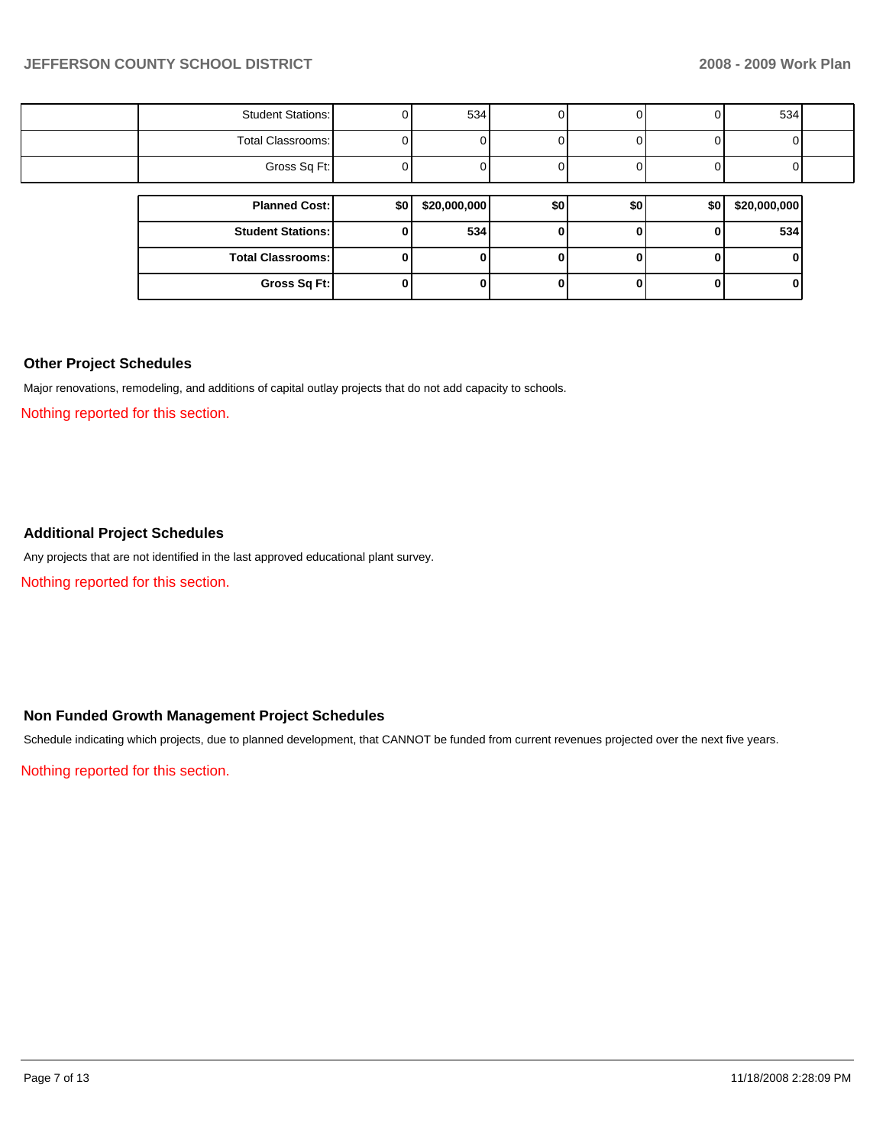| <b>Student Stations:</b> | 0   | 534          |     | . J I        |     | 534          |  |
|--------------------------|-----|--------------|-----|--------------|-----|--------------|--|
| Total Classrooms:        |     |              |     |              |     |              |  |
| Gross Sq Ft:             |     |              |     |              |     |              |  |
|                          |     |              |     |              |     |              |  |
| <b>Planned Cost:</b>     | \$0 | \$20,000,000 | \$0 | \$0          | \$0 | \$20,000,000 |  |
|                          |     |              |     |              |     |              |  |
| <b>Student Stations:</b> | 0   | 534          |     |              |     | 534          |  |
| <b>Total Classrooms:</b> | 0   |              |     | $\mathbf{u}$ |     |              |  |

#### **Other Project Schedules**

Major renovations, remodeling, and additions of capital outlay projects that do not add capacity to schools.

Nothing reported for this section.

## **Additional Project Schedules**

Any projects that are not identified in the last approved educational plant survey.

Nothing reported for this section.

## **Non Funded Growth Management Project Schedules**

Schedule indicating which projects, due to planned development, that CANNOT be funded from current revenues projected over the next five years.

Nothing reported for this section.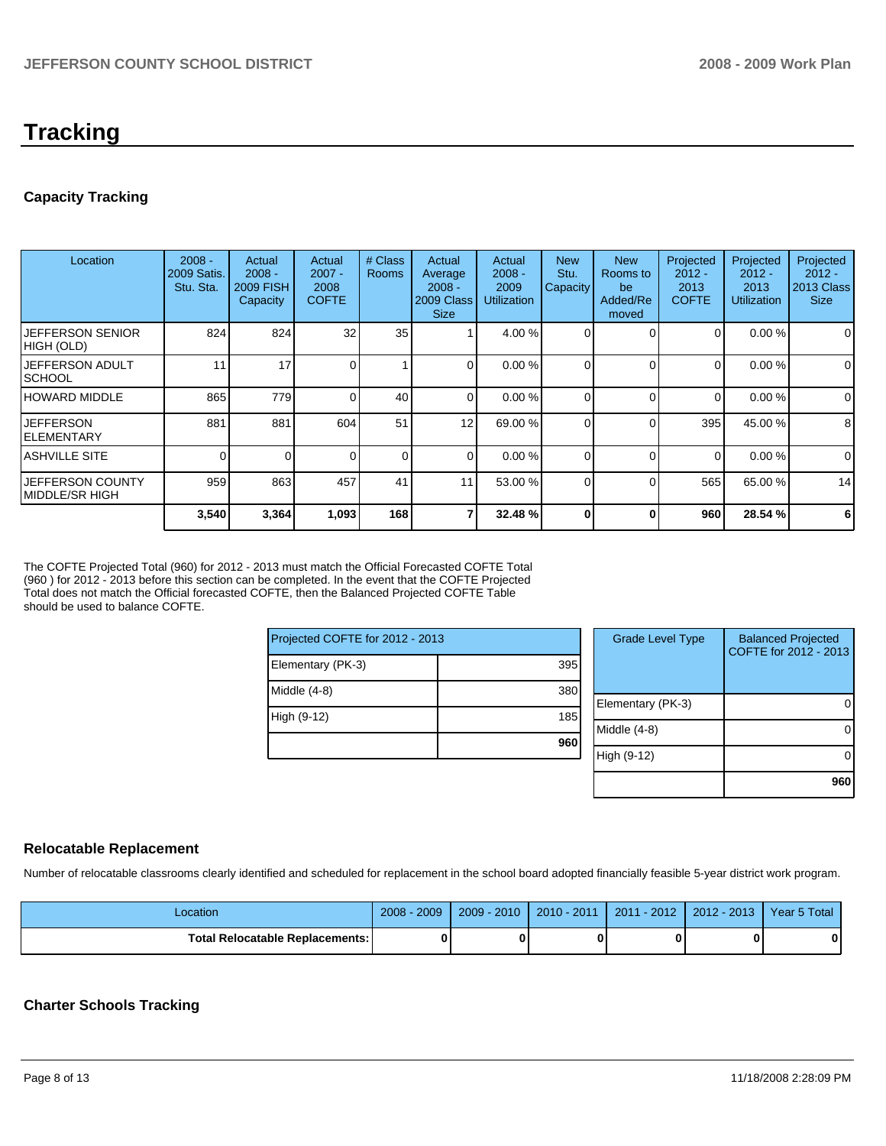## **Tracking**

## **Capacity Tracking**

| Location                              | $2008 -$<br>2009 Satis.<br>Stu. Sta. | Actual<br>$2008 -$<br><b>2009 FISH</b><br>Capacity | Actual<br>$2007 -$<br>2008<br><b>COFTE</b> | # Class<br><b>Rooms</b> | Actual<br>Average<br>$2008 -$<br>2009 Class<br><b>Size</b> | Actual<br>$2008 -$<br>2009<br><b>Utilization</b> | <b>New</b><br>Stu.<br>Capacity | <b>New</b><br>Rooms to<br>be<br>Added/Re<br>moved | Projected<br>$2012 -$<br>2013<br><b>COFTE</b> | Projected<br>$2012 -$<br>2013<br><b>Utilization</b> | Projected<br>$2012 -$<br><b>2013 Class</b><br><b>Size</b> |
|---------------------------------------|--------------------------------------|----------------------------------------------------|--------------------------------------------|-------------------------|------------------------------------------------------------|--------------------------------------------------|--------------------------------|---------------------------------------------------|-----------------------------------------------|-----------------------------------------------------|-----------------------------------------------------------|
| <b>JEFFERSON SENIOR</b><br>HIGH (OLD) | 824                                  | 824                                                | 32                                         | 35                      |                                                            | 4.00 %                                           |                                |                                                   | 0                                             | 0.00%                                               | $\overline{0}$                                            |
| <b>JEFFERSON ADULT</b><br>ISCHOOL     | 11                                   | 17                                                 |                                            |                         | $\overline{0}$                                             | 0.00%                                            | 0                              | 0                                                 | 0                                             | 0.00%                                               | $\overline{0}$                                            |
| HOWARD MIDDLE                         | 865                                  | 779                                                | $\Omega$                                   | 40                      | $\Omega$                                                   | 0.00%                                            | $\Omega$                       | $\Omega$                                          | $\Omega$                                      | 0.00%                                               | $\Omega$                                                  |
| <b>JEFFERSON</b><br>IELEMENTARY       | 881                                  | 881                                                | 604                                        | 51                      | 12                                                         | 69.00 %                                          |                                | $\Omega$                                          | 395                                           | 45.00 %                                             | 8                                                         |
| IASHVILLE SITE                        | $\Omega$                             | 0                                                  | $\Omega$                                   | 0                       | $\overline{0}$                                             | 0.00%                                            | $\Omega$                       | 0                                                 | 0                                             | 0.00 %                                              | $\overline{0}$                                            |
| IJEFFERSON COUNTY<br>IMIDDLE/SR HIGH  | 959                                  | 863                                                | 457                                        | 41                      | 11                                                         | 53.00 %                                          | 0                              | $\Omega$                                          | 565                                           | 65.00 %                                             | 14                                                        |
|                                       | 3,540                                | 3,364                                              | 1,093                                      | 168                     |                                                            | 32.48 %                                          | $\bf{0}$                       | 0                                                 | 960                                           | 28.54 %                                             | 6                                                         |

The COFTE Projected Total (960) for 2012 - 2013 must match the Official Forecasted COFTE Total (960 ) for 2012 - 2013 before this section can be completed. In the event that the COFTE Projected Total does not match the Official forecasted COFTE, then the Balanced Projected COFTE Table should be used to balance COFTE.

| Projected COFTE for 2012 - 2013 |     |  |      |  |  |
|---------------------------------|-----|--|------|--|--|
| Elementary (PK-3)               | 395 |  |      |  |  |
| Middle (4-8)                    | 380 |  | Eler |  |  |
| High (9-12)                     | 185 |  | Mid  |  |  |
|                                 | 960 |  | Hial |  |  |

| <b>Grade Level Type</b> | <b>Balanced Projected</b><br>COFTE for 2012 - 2013 |
|-------------------------|----------------------------------------------------|
| Elementary (PK-3)       |                                                    |
| Middle (4-8)            |                                                    |
| High (9-12)             |                                                    |
|                         | 960                                                |

## **Relocatable Replacement**

Number of relocatable classrooms clearly identified and scheduled for replacement in the school board adopted financially feasible 5-year district work program.

| Location                                 | 2009<br>$2008 -$ | $2009 - 2010$ | $2010 - 2011$ | $-2012$<br>2011 | 2012 - 2013 | Year 5 Total |
|------------------------------------------|------------------|---------------|---------------|-----------------|-------------|--------------|
| <b>Total Relocatable Replacements: I</b> |                  |               |               |                 |             | 0            |

### **Charter Schools Tracking**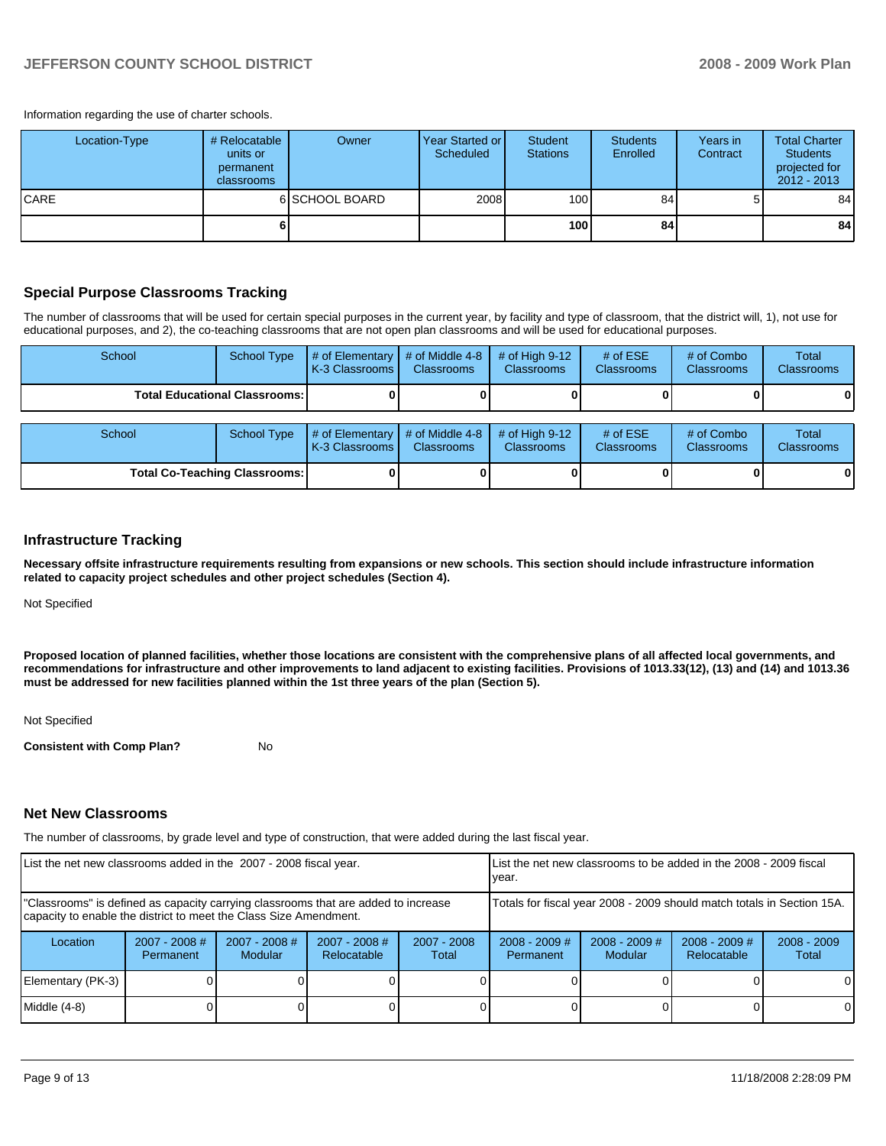Information regarding the use of charter schools.

| Location-Type | # Relocatable<br>units or<br>permanent<br>classrooms | Owner          | Year Started or I<br>Scheduled | Student<br><b>Stations</b> | <b>Students</b><br>Enrolled | Years in<br>Contract | <b>Total Charter</b><br><b>Students</b><br>projected for<br>$2012 - 2013$ |
|---------------|------------------------------------------------------|----------------|--------------------------------|----------------------------|-----------------------------|----------------------|---------------------------------------------------------------------------|
| ICARE         |                                                      | 6 SCHOOL BOARD | 2008                           | 100                        | 84 <sub>l</sub>             | 5                    | 84                                                                        |
|               |                                                      |                |                                | <b>100</b>                 | 84                          |                      | 84                                                                        |

#### **Special Purpose Classrooms Tracking**

The number of classrooms that will be used for certain special purposes in the current year, by facility and type of classroom, that the district will, 1), not use for educational purposes, and 2), the co-teaching classrooms that are not open plan classrooms and will be used for educational purposes.

| School                               | <b>School Type</b>                   | $#$ of Elementary<br>K-3 Classrooms | # of Middle 4-8<br><b>Classrooms</b> | # of High $9-12$<br><b>Classrooms</b> | # of $ESE$<br>Classrooms | # of Combo<br><b>Classrooms</b> | Total<br><b>Classrooms</b> |
|--------------------------------------|--------------------------------------|-------------------------------------|--------------------------------------|---------------------------------------|--------------------------|---------------------------------|----------------------------|
|                                      | <b>Total Educational Classrooms:</b> |                                     |                                      |                                       |                          |                                 | 01                         |
| School                               | <b>School Type</b>                   | # of Elementary<br>K-3 Classrooms   | # of Middle 4-8<br><b>Classrooms</b> | # of High $9-12$<br><b>Classrooms</b> | # of $ESE$<br>Classrooms | # of Combo<br><b>Classrooms</b> | Total<br><b>Classrooms</b> |
| <b>Total Co-Teaching Classrooms:</b> |                                      |                                     |                                      |                                       |                          | 0                               | 01                         |

#### **Infrastructure Tracking**

**Necessary offsite infrastructure requirements resulting from expansions or new schools. This section should include infrastructure information related to capacity project schedules and other project schedules (Section 4).** 

Not Specified

**Proposed location of planned facilities, whether those locations are consistent with the comprehensive plans of all affected local governments, and recommendations for infrastructure and other improvements to land adjacent to existing facilities. Provisions of 1013.33(12), (13) and (14) and 1013.36 must be addressed for new facilities planned within the 1st three years of the plan (Section 5).** 

Not Specified

**Consistent with Comp Plan?** No

#### **Net New Classrooms**

The number of classrooms, by grade level and type of construction, that were added during the last fiscal year.

| List the net new classrooms added in the 2007 - 2008 fiscal year.                                                                                       |                                                                        |                            | List the net new classrooms to be added in the 2008 - 2009 fiscal<br>year. |                        |                              |                                   |                                |                        |
|---------------------------------------------------------------------------------------------------------------------------------------------------------|------------------------------------------------------------------------|----------------------------|----------------------------------------------------------------------------|------------------------|------------------------------|-----------------------------------|--------------------------------|------------------------|
| "Classrooms" is defined as capacity carrying classrooms that are added to increase<br>capacity to enable the district to meet the Class Size Amendment. | Totals for fiscal year 2008 - 2009 should match totals in Section 15A. |                            |                                                                            |                        |                              |                                   |                                |                        |
| Location                                                                                                                                                | $2007 - 2008$ #<br>Permanent                                           | $2007 - 2008$ #<br>Modular | $2007 - 2008$ #<br>Relocatable                                             | $2007 - 2008$<br>Total | $2008 - 2009$ #<br>Permanent | $2008 - 2009$ #<br><b>Modular</b> | $2008 - 2009$ #<br>Relocatable | $2008 - 2009$<br>Total |
| Elementary (PK-3)                                                                                                                                       |                                                                        |                            |                                                                            |                        |                              |                                   |                                | $\Omega$               |
| Middle $(4-8)$                                                                                                                                          |                                                                        |                            |                                                                            |                        |                              |                                   |                                | 0                      |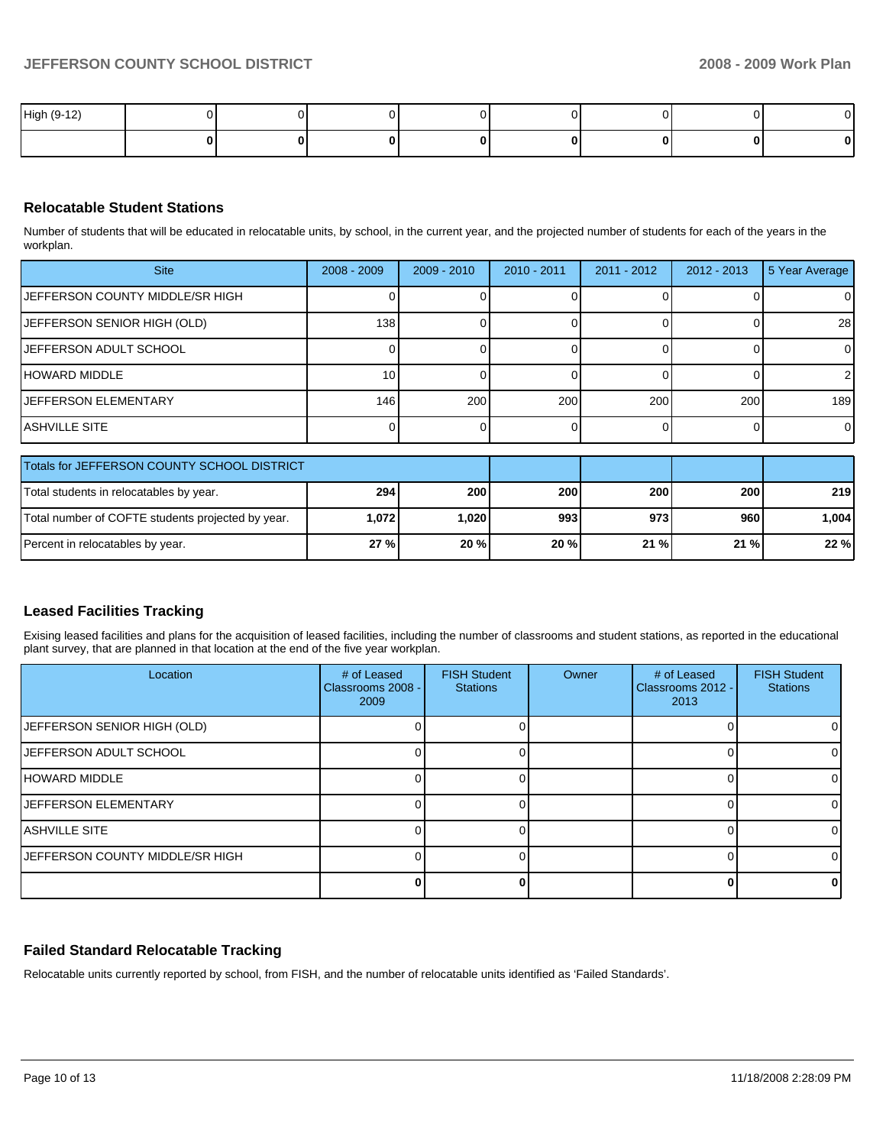| High (9-12) |  |  |  |   |        |
|-------------|--|--|--|---|--------|
|             |  |  |  | u | $\sim$ |

## **Relocatable Student Stations**

Number of students that will be educated in relocatable units, by school, in the current year, and the projected number of students for each of the years in the workplan.

| <b>Site</b>                            | $2008 - 2009$ | $2009 - 2010$ | $2010 - 2011$ | $2011 - 2012$ | $2012 - 2013$ | 5 Year Average |
|----------------------------------------|---------------|---------------|---------------|---------------|---------------|----------------|
| <b>JEFFERSON COUNTY MIDDLE/SR HIGH</b> |               |               |               |               |               | 0              |
| JEFFERSON SENIOR HIGH (OLD)            | 138           |               |               |               |               | <b>28</b>      |
| IJEFFERSON ADULT SCHOOL                |               |               |               |               |               | 0              |
| HOWARD MIDDLE                          | 10            |               |               |               |               | $\overline{2}$ |
| <b>IJEFFERSON ELEMENTARY</b>           | 146           | 200           | 200           | 200           | 200           | 189            |
| IASHVILLE SITE                         |               |               |               |               |               | 0              |

| <b>Totals for JEFFERSON COUNTY SCHOOL DISTRICT</b> |            |       |            |         |         |          |
|----------------------------------------------------|------------|-------|------------|---------|---------|----------|
| Total students in relocatables by year.            | <b>294</b> | 200   | <b>200</b> | 200     | 200     | 219 l    |
| Total number of COFTE students projected by year.  | 1.0721     | 1,020 | 993        | 973     | 960     | ا 004. ا |
| Percent in relocatables by year.                   | 27%        | 20%   | 20%        | $21 \%$ | $21 \%$ | 22%      |

## **Leased Facilities Tracking**

Exising leased facilities and plans for the acquisition of leased facilities, including the number of classrooms and student stations, as reported in the educational plant survey, that are planned in that location at the end of the five year workplan.

| Location                           | # of Leased<br>Classrooms 2008 -<br>2009 | <b>FISH Student</b><br><b>Stations</b> | Owner | # of Leased<br>Classrooms 2012 -<br>2013 | <b>FISH Student</b><br><b>Stations</b> |
|------------------------------------|------------------------------------------|----------------------------------------|-------|------------------------------------------|----------------------------------------|
| <b>JEFFERSON SENIOR HIGH (OLD)</b> |                                          |                                        |       |                                          |                                        |
| <b>JEFFERSON ADULT SCHOOL</b>      |                                          |                                        |       |                                          |                                        |
| <b>HOWARD MIDDLE</b>               |                                          |                                        |       |                                          |                                        |
| <b>IJEFFERSON ELEMENTARY</b>       |                                          |                                        |       |                                          |                                        |
| IASHVILLE SITE                     |                                          |                                        |       |                                          |                                        |
| JEFFERSON COUNTY MIDDLE/SR HIGH    |                                          |                                        |       |                                          |                                        |
|                                    |                                          |                                        |       |                                          |                                        |

## **Failed Standard Relocatable Tracking**

Relocatable units currently reported by school, from FISH, and the number of relocatable units identified as 'Failed Standards'.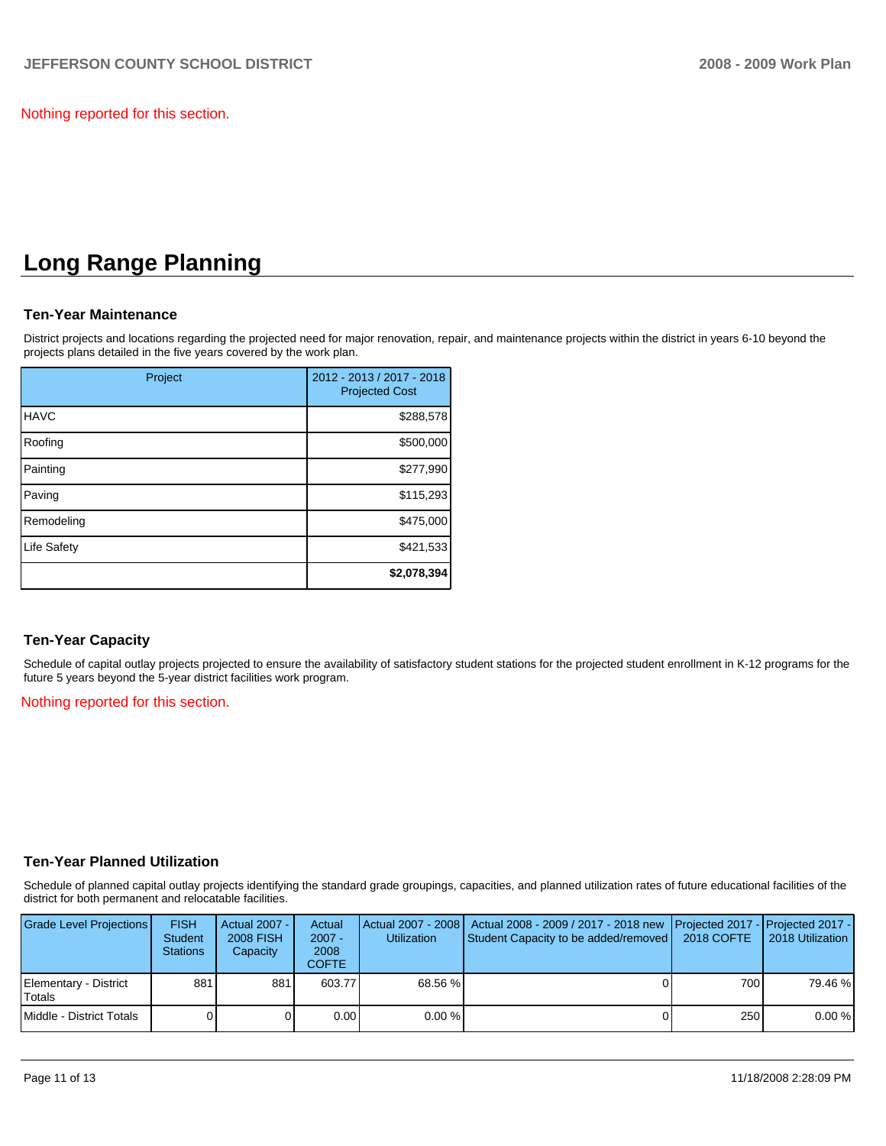Nothing reported for this section.

## **Long Range Planning**

## **Ten-Year Maintenance**

District projects and locations regarding the projected need for major renovation, repair, and maintenance projects within the district in years 6-10 beyond the projects plans detailed in the five years covered by the work plan.

| Project     | 2012 - 2013 / 2017 - 2018<br><b>Projected Cost</b> |
|-------------|----------------------------------------------------|
| <b>HAVC</b> | \$288,578                                          |
| Roofing     | \$500,000                                          |
| Painting    | \$277,990                                          |
| Paving      | \$115,293                                          |
| Remodeling  | \$475,000                                          |
| Life Safety | \$421,533                                          |
|             | \$2,078,394                                        |

## **Ten-Year Capacity**

Schedule of capital outlay projects projected to ensure the availability of satisfactory student stations for the projected student enrollment in K-12 programs for the future 5 years beyond the 5-year district facilities work program.

#### Nothing reported for this section.

### **Ten-Year Planned Utilization**

Schedule of planned capital outlay projects identifying the standard grade groupings, capacities, and planned utilization rates of future educational facilities of the district for both permanent and relocatable facilities.

| Grade Level Projections         | <b>FISH</b><br><b>Student</b><br><b>Stations</b> | Actual 2007 - I<br><b>2008 FISH</b><br>Capacity | Actual<br>$2007 -$<br>2008<br><b>COFTE</b> | <b>Utilization</b> | Actual 2007 - 2008   Actual 2008 - 2009 / 2017 - 2018 new<br>Student Capacity to be added/removed   2018 COFTE | <b>Projected 2017 - Projected 2017 -</b> | 2018 Utilization |
|---------------------------------|--------------------------------------------------|-------------------------------------------------|--------------------------------------------|--------------------|----------------------------------------------------------------------------------------------------------------|------------------------------------------|------------------|
| Elementary - District<br>Totals | 881                                              | 881                                             | 603.77                                     | 68.56 %            |                                                                                                                | 700 I                                    | 79.46 %          |
| Middle - District Totals        |                                                  |                                                 | 0.00                                       | 0.00%              |                                                                                                                | 250 <b>1</b>                             | 0.00%            |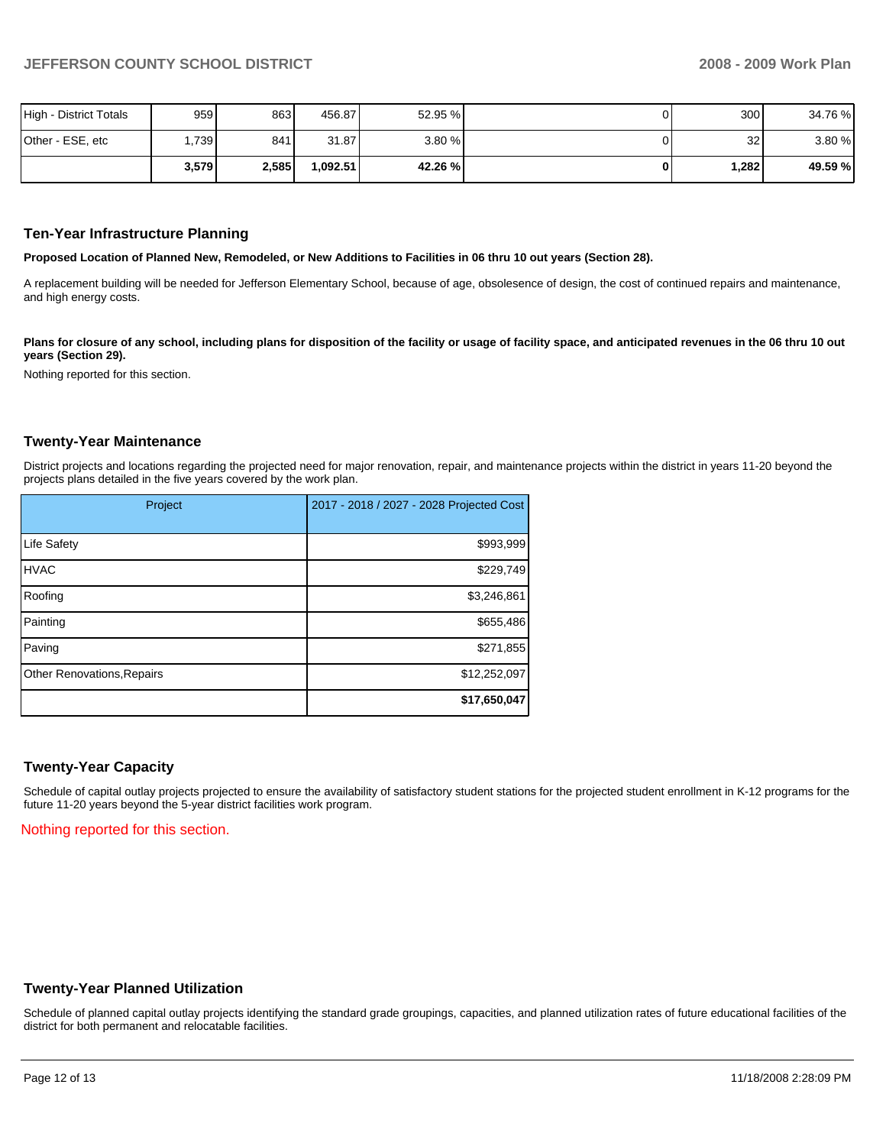| High - District Totals | 959   | 863   | 456.87  | 52.95 % | 300  | 34.76 % |
|------------------------|-------|-------|---------|---------|------|---------|
| Other - ESE, etc       | ,739  | 841   | 31.87   | 3.80%   | 32   | 3.80 %  |
|                        | 3,579 | 2,585 | ,092.51 | 42.26 % | ,282 | 49.59 % |

#### **Ten-Year Infrastructure Planning**

**Proposed Location of Planned New, Remodeled, or New Additions to Facilities in 06 thru 10 out years (Section 28).** 

A replacement building will be needed for Jefferson Elementary School, because of age, obsolesence of design, the cost of continued repairs and maintenance, and high energy costs.

Plans for closure of any school, including plans for disposition of the facility or usage of facility space, and anticipated revenues in the 06 thru 10 out **years (Section 29).** 

Nothing reported for this section.

#### **Twenty-Year Maintenance**

District projects and locations regarding the projected need for major renovation, repair, and maintenance projects within the district in years 11-20 beyond the projects plans detailed in the five years covered by the work plan.

| Project                           | 2017 - 2018 / 2027 - 2028 Projected Cost |
|-----------------------------------|------------------------------------------|
| Life Safety                       | \$993,999                                |
| <b>HVAC</b>                       | \$229,749                                |
| Roofing                           | \$3,246,861                              |
| Painting                          | \$655,486                                |
| Paving                            | \$271,855                                |
| <b>Other Renovations, Repairs</b> | \$12,252,097                             |
|                                   | \$17,650,047                             |

#### **Twenty-Year Capacity**

Schedule of capital outlay projects projected to ensure the availability of satisfactory student stations for the projected student enrollment in K-12 programs for the future 11-20 years beyond the 5-year district facilities work program.

Nothing reported for this section.

#### **Twenty-Year Planned Utilization**

Schedule of planned capital outlay projects identifying the standard grade groupings, capacities, and planned utilization rates of future educational facilities of the district for both permanent and relocatable facilities.